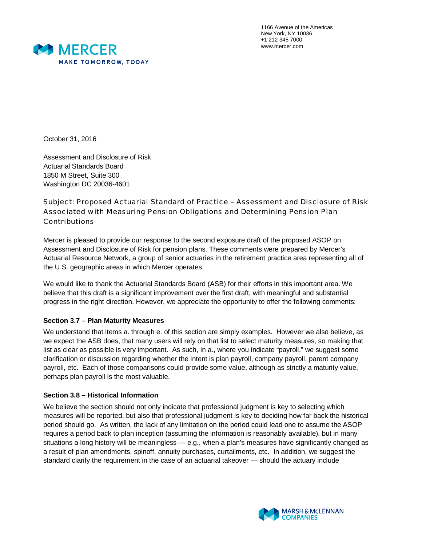

1166 Avenue of the Americas New York, NY 10036 +1 212 345 7000 www.mercer.com

October 31, 2016

Assessment and Disclosure of Risk Actuarial Standards Board 1850 M Street, Suite 300 Washington DC 20036-4601

Subject: Proposed Actuarial Standard of Practice – Assessment and Disclosure of Risk Associated with Measuring Pension Obligations and Determining Pension Plan Contributions

Mercer is pleased to provide our response to the second exposure draft of the proposed ASOP on Assessment and Disclosure of Risk for pension plans. These comments were prepared by Mercer's Actuarial Resource Network, a group of senior actuaries in the retirement practice area representing all of the U.S. geographic areas in which Mercer operates.

We would like to thank the Actuarial Standards Board (ASB) for their efforts in this important area. We believe that this draft is a significant improvement over the first draft, with meaningful and substantial progress in the right direction. However, we appreciate the opportunity to offer the following comments:

# **Section 3.7 – Plan Maturity Measures**

We understand that items a. through e. of this section are simply examples. However we also believe, as we expect the ASB does, that many users will rely on that list to select maturity measures, so making that list as clear as possible is very important. As such, in a., where you indicate "payroll," we suggest some clarification or discussion regarding whether the intent is plan payroll, company payroll, parent company payroll, etc. Each of those comparisons could provide some value, although as strictly a maturity value, perhaps plan payroll is the most valuable.

## **Section 3.8 – Historical Information**

We believe the section should not only indicate that professional judgment is key to selecting which measures will be reported, but also that professional judgment is key to deciding how far back the historical period should go. As written, the lack of any limitation on the period could lead one to assume the ASOP requires a period back to plan inception (assuming the information is reasonably available), but in many situations a long history will be meaningless — e.g., when a plan's measures have significantly changed as a result of plan amendments, spinoff, annuity purchases, curtailments, etc. In addition, we suggest the standard clarify the requirement in the case of an actuarial takeover — should the actuary include

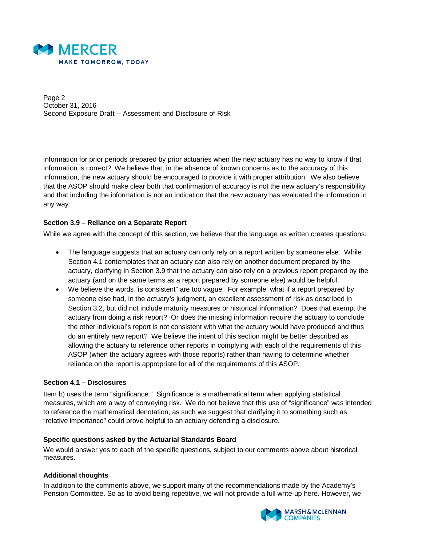

Page 2 October 31, 2016 Second Exposure Draft -- Assessment and Disclosure of Risk

information for prior periods prepared by prior actuaries when the new actuary has no way to know if that information is correct? We believe that, in the absence of known concerns as to the accuracy of this information, the new actuary should be encouraged to provide it with proper attribution. We also believe that the ASOP should make clear both that confirmation of accuracy is not the new actuary's responsibility and that including the information is not an indication that the new actuary has evaluated the information in any way.

### **Section 3.9 – Reliance on a Separate Report**

While we agree with the concept of this section, we believe that the language as written creates questions:

- The language suggests that an actuary can only rely on a report written by someone else. While Section 4.1 contemplates that an actuary can also rely on another document prepared by the actuary, clarifying in Section 3.9 that the actuary can also rely on a previous report prepared by the actuary (and on the same terms as a report prepared by someone else) would be helpful.
- We believe the words "is consistent" are too vague. For example, what if a report prepared by someone else had, in the actuary's judgment, an excellent assessment of risk as described in Section 3.2, but did not include maturity measures or historical information? Does that exempt the actuary from doing a risk report? Or does the missing information require the actuary to conclude the other individual's report is not consistent with what the actuary would have produced and thus do an entirely new report? We believe the intent of this section might be better described as allowing the actuary to reference other reports in complying with each of the requirements of this ASOP (when the actuary agrees with those reports) rather than having to determine whether reliance on the report is appropriate for all of the requirements of this ASOP.

## **Section 4.1 – Disclosures**

Item b) uses the term "significance." Significance is a mathematical term when applying statistical measures, which are a way of conveying risk. We do not believe that this use of "significance" was intended to reference the mathematical denotation; as such we suggest that clarifying it to something such as "relative importance" could prove helpful to an actuary defending a disclosure.

#### **Specific questions asked by the Actuarial Standards Board**

We would answer yes to each of the specific questions, subject to our comments above about historical measures.

#### **Additional thoughts**

In addition to the comments above, we support many of the recommendations made by the Academy's Pension Committee. So as to avoid being repetitive, we will not provide a full write-up here. However, we